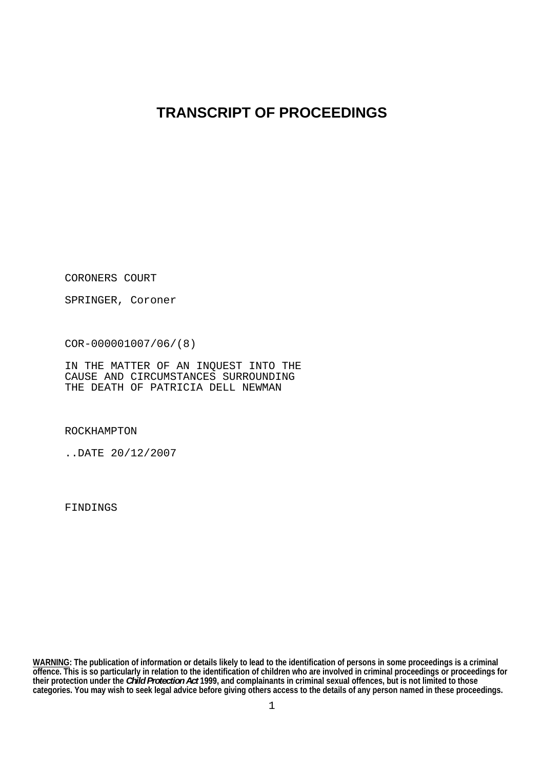## **TRANSCRIPT OF PROCEEDINGS**

CORONERS COURT

SPRINGER, Coroner

COR-000001007/06/(8)

IN THE MATTER OF AN INQUEST INTO THE CAUSE AND CIRCUMSTANCES SURROUNDING THE DEATH OF PATRICIA DELL NEWMAN

ROCKHAMPTON

..DATE 20/12/2007

FINDINGS

**WARNING: The publication of information or details likely to lead to the identification of persons in some proceedings is a criminal offence. This is so particularly in relation to the identification of children who are involved in criminal proceedings or proceedings for their protection under the** *Child Protection Act* **1999, and complainants in criminal sexual offences, but is not limited to those categories. You may wish to seek legal advice before giving others access to the details of any person named in these proceedings.**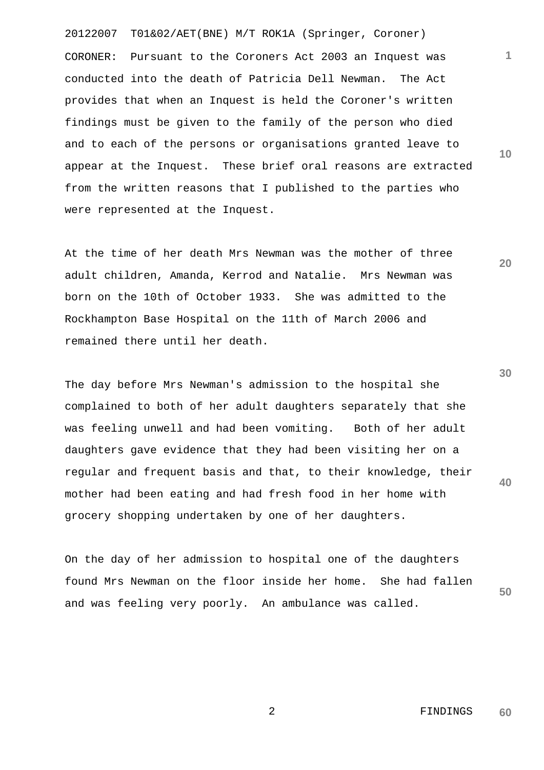20122007 T01&02/AET(BNE) M/T ROK1A (Springer, Coroner) CORONER: Pursuant to the Coroners Act 2003 an Inquest was conducted into the death of Patricia Dell Newman. The Act provides that when an Inquest is held the Coroner's written findings must be given to the family of the person who died and to each of the persons or organisations granted leave to appear at the Inquest. These brief oral reasons are extracted from the written reasons that I published to the parties who were represented at the Inquest.

At the time of her death Mrs Newman was the mother of three adult children, Amanda, Kerrod and Natalie. Mrs Newman was born on the 10th of October 1933. She was admitted to the Rockhampton Base Hospital on the 11th of March 2006 and remained there until her death.

**40**  The day before Mrs Newman's admission to the hospital she complained to both of her adult daughters separately that she was feeling unwell and had been vomiting. Both of her adult daughters gave evidence that they had been visiting her on a regular and frequent basis and that, to their knowledge, their mother had been eating and had fresh food in her home with grocery shopping undertaken by one of her daughters.

**50**  On the day of her admission to hospital one of the daughters found Mrs Newman on the floor inside her home. She had fallen and was feeling very poorly. An ambulance was called.

**1**

**10** 

**20**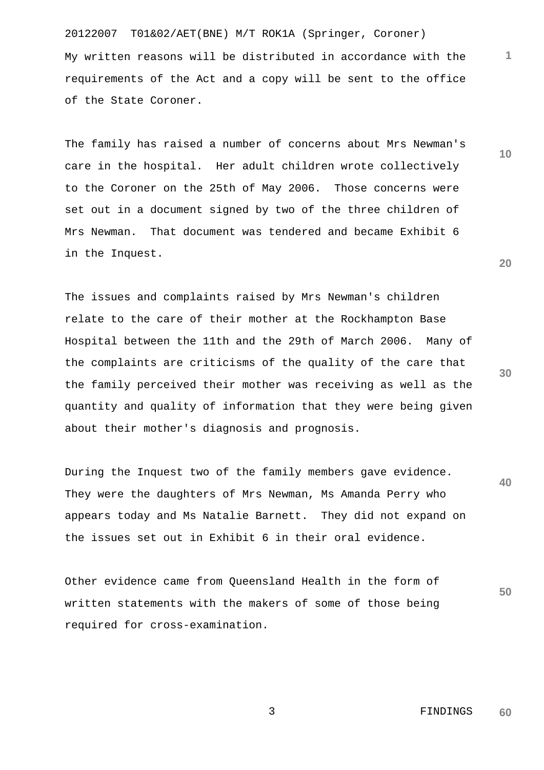20122007 T01&02/AET(BNE) M/T ROK1A (Springer, Coroner) My written reasons will be distributed in accordance with the requirements of the Act and a copy will be sent to the office of the State Coroner.

The family has raised a number of concerns about Mrs Newman's care in the hospital. Her adult children wrote collectively to the Coroner on the 25th of May 2006. Those concerns were set out in a document signed by two of the three children of Mrs Newman. That document was tendered and became Exhibit 6 in the Inquest.

The issues and complaints raised by Mrs Newman's children relate to the care of their mother at the Rockhampton Base Hospital between the 11th and the 29th of March 2006. Many of the complaints are criticisms of the quality of the care that the family perceived their mother was receiving as well as the quantity and quality of information that they were being given about their mother's diagnosis and prognosis.

**40**  During the Inquest two of the family members gave evidence. They were the daughters of Mrs Newman, Ms Amanda Perry who appears today and Ms Natalie Barnett. They did not expand on the issues set out in Exhibit 6 in their oral evidence.

Other evidence came from Queensland Health in the form of written statements with the makers of some of those being required for cross-examination.

> 3 FINDINGS **60**

**20** 

**50** 

**10**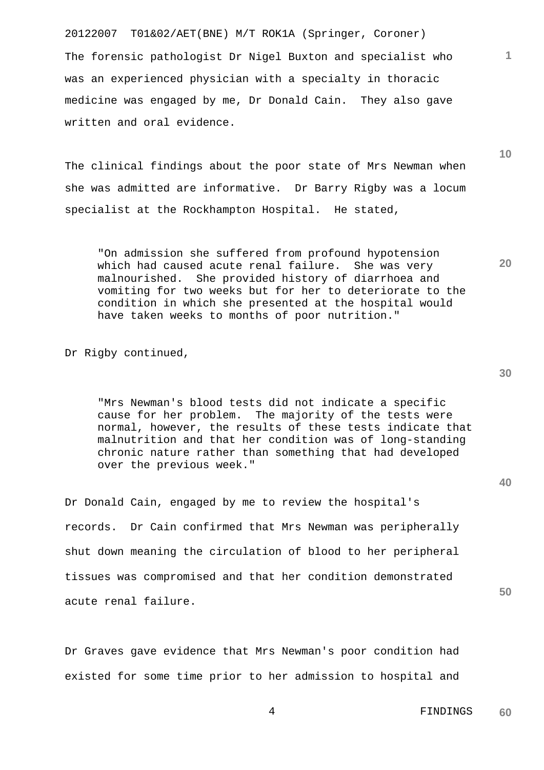20122007 T01&02/AET(BNE) M/T ROK1A (Springer, Coroner) The forensic pathologist Dr Nigel Buxton and specialist who was an experienced physician with a specialty in thoracic medicine was engaged by me, Dr Donald Cain. They also gave written and oral evidence.

The clinical findings about the poor state of Mrs Newman when she was admitted are informative. Dr Barry Rigby was a locum specialist at the Rockhampton Hospital. He stated,

"On admission she suffered from profound hypotension which had caused acute renal failure. She was very malnourished. She provided history of diarrhoea and vomiting for two weeks but for her to deteriorate to the condition in which she presented at the hospital would have taken weeks to months of poor nutrition."

Dr Rigby continued,

"Mrs Newman's blood tests did not indicate a specific cause for her problem. The majority of the tests were normal, however, the results of these tests indicate that malnutrition and that her condition was of long-standing chronic nature rather than something that had developed over the previous week."

Dr Donald Cain, engaged by me to review the hospital's records. Dr Cain confirmed that Mrs Newman was peripherally shut down meaning the circulation of blood to her peripheral tissues was compromised and that her condition demonstrated acute renal failure.

Dr Graves gave evidence that Mrs Newman's poor condition had existed for some time prior to her admission to hospital and **40** 

**1**

**10** 

**20** 

 4 FINDINGS **60**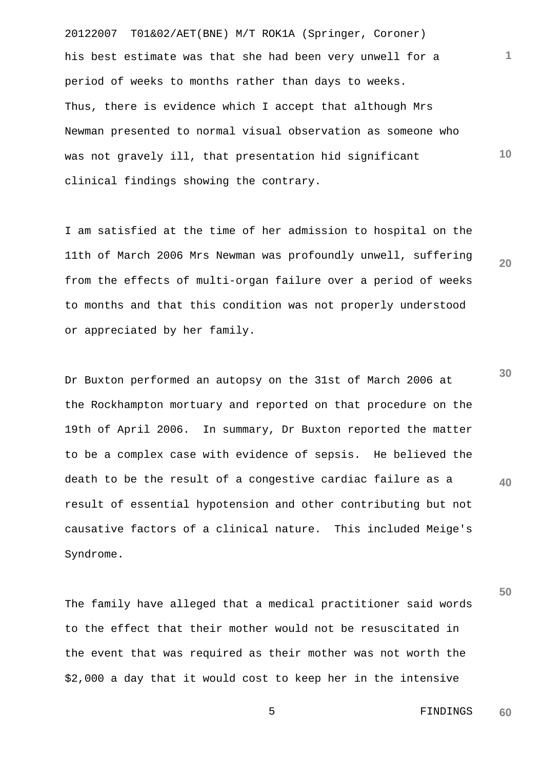20122007 T01&02/AET(BNE) M/T ROK1A (Springer, Coroner) his best estimate was that she had been very unwell for a period of weeks to months rather than days to weeks. Thus, there is evidence which I accept that although Mrs Newman presented to normal visual observation as someone who was not gravely ill, that presentation hid significant clinical findings showing the contrary.

I am satisfied at the time of her admission to hospital on the 11th of March 2006 Mrs Newman was profoundly unwell, suffering from the effects of multi-organ failure over a period of weeks to months and that this condition was not properly understood or appreciated by her family.

**30 40**  Dr Buxton performed an autopsy on the 31st of March 2006 at the Rockhampton mortuary and reported on that procedure on the 19th of April 2006. In summary, Dr Buxton reported the matter to be a complex case with evidence of sepsis. He believed the death to be the result of a congestive cardiac failure as a result of essential hypotension and other contributing but not causative factors of a clinical nature. This included Meige's Syndrome.

The family have alleged that a medical practitioner said words to the effect that their mother would not be resuscitated in the event that was required as their mother was not worth the \$2,000 a day that it would cost to keep her in the intensive

> 5 FINDINGS **60**

**50** 

**1**

**10**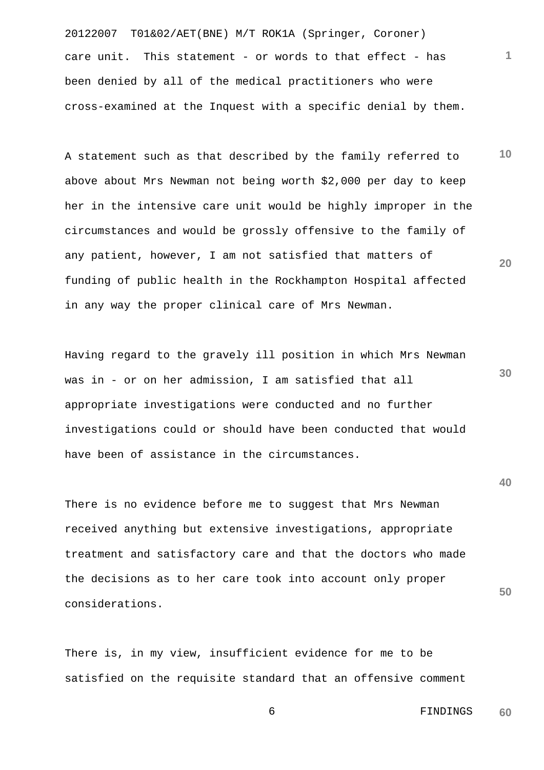20122007 T01&02/AET(BNE) M/T ROK1A (Springer, Coroner) care unit. This statement - or words to that effect - has been denied by all of the medical practitioners who were cross-examined at the Inquest with a specific denial by them.

**10 20**  A statement such as that described by the family referred to above about Mrs Newman not being worth \$2,000 per day to keep her in the intensive care unit would be highly improper in the circumstances and would be grossly offensive to the family of any patient, however, I am not satisfied that matters of funding of public health in the Rockhampton Hospital affected in any way the proper clinical care of Mrs Newman.

Having regard to the gravely ill position in which Mrs Newman was in - or on her admission, I am satisfied that all appropriate investigations were conducted and no further investigations could or should have been conducted that would have been of assistance in the circumstances.

There is no evidence before me to suggest that Mrs Newman received anything but extensive investigations, appropriate treatment and satisfactory care and that the doctors who made the decisions as to her care took into account only proper considerations.

There is, in my view, insufficient evidence for me to be satisfied on the requisite standard that an offensive comment **30** 

**1**

**50** 

 6 FINDINGS **60**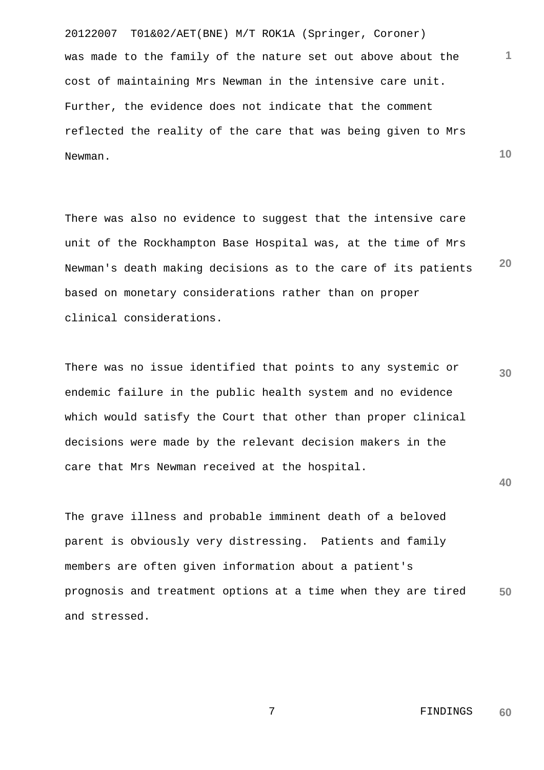20122007 T01&02/AET(BNE) M/T ROK1A (Springer, Coroner) **10**  was made to the family of the nature set out above about the cost of maintaining Mrs Newman in the intensive care unit. Further, the evidence does not indicate that the comment reflected the reality of the care that was being given to Mrs Newman.

**20**  There was also no evidence to suggest that the intensive care unit of the Rockhampton Base Hospital was, at the time of Mrs Newman's death making decisions as to the care of its patients based on monetary considerations rather than on proper clinical considerations.

**30**  There was no issue identified that points to any systemic or endemic failure in the public health system and no evidence which would satisfy the Court that other than proper clinical decisions were made by the relevant decision makers in the care that Mrs Newman received at the hospital.

**40** 

**1**

**50**  The grave illness and probable imminent death of a beloved parent is obviously very distressing. Patients and family members are often given information about a patient's prognosis and treatment options at a time when they are tired and stressed.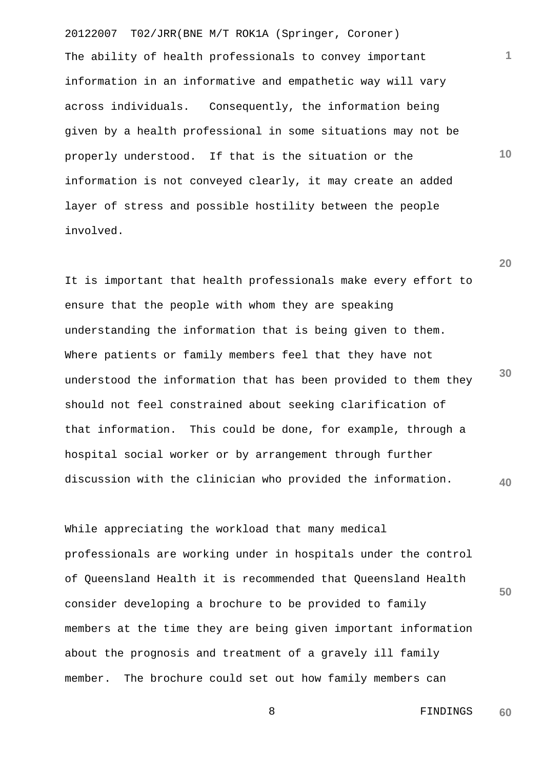20122007 T02/JRR(BNE M/T ROK1A (Springer, Coroner) The ability of health professionals to convey important information in an informative and empathetic way will vary across individuals. Consequently, the information being given by a health professional in some situations may not be properly understood. If that is the situation or the information is not conveyed clearly, it may create an added layer of stress and possible hostility between the people involved.

**30 40**  It is important that health professionals make every effort to ensure that the people with whom they are speaking understanding the information that is being given to them. Where patients or family members feel that they have not understood the information that has been provided to them they should not feel constrained about seeking clarification of that information. This could be done, for example, through a hospital social worker or by arrangement through further discussion with the clinician who provided the information.

While appreciating the workload that many medical professionals are working under in hospitals under the control of Queensland Health it is recommended that Queensland Health consider developing a brochure to be provided to family members at the time they are being given important information about the prognosis and treatment of a gravely ill family member. The brochure could set out how family members can

> 8 FINDINGS **60**

**50** 

**1**

**10**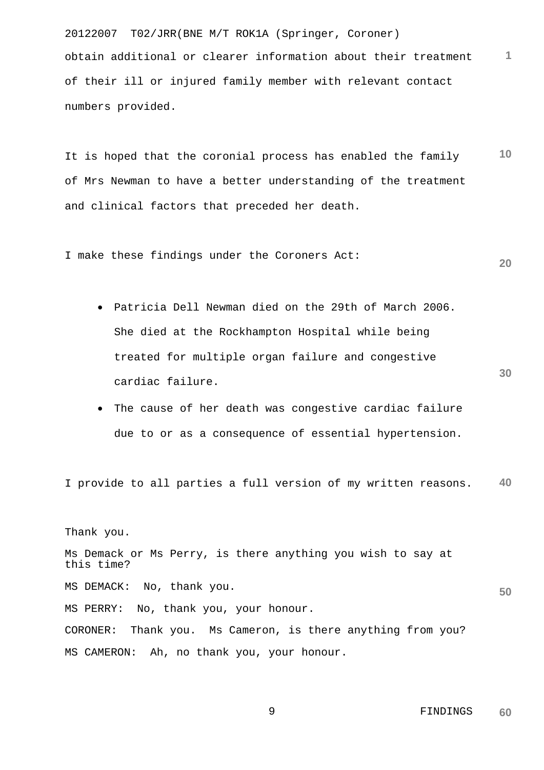20122007 T02/JRR(BNE M/T ROK1A (Springer, Coroner) **1** obtain additional or clearer information about their treatment of their ill or injured family member with relevant contact numbers provided.

**10**  It is hoped that the coronial process has enabled the family of Mrs Newman to have a better understanding of the treatment and clinical factors that preceded her death.

I make these findings under the Coroners Act:

- Patricia Dell Newman died on the 29th of March 2006. She died at the Rockhampton Hospital while being treated for multiple organ failure and congestive cardiac failure.
- The cause of her death was congestive cardiac failure due to or as a consequence of essential hypertension.

**40**  I provide to all parties a full version of my written reasons.

Thank you. Ms Demack or Ms Perry, is there anything you wish to say at this time? MS DEMACK: No, thank you. MS PERRY: No, thank you, your honour. CORONER: Thank you. Ms Cameron, is there anything from you? MS CAMERON: Ah, no thank you, your honour.

**30** 

**50**